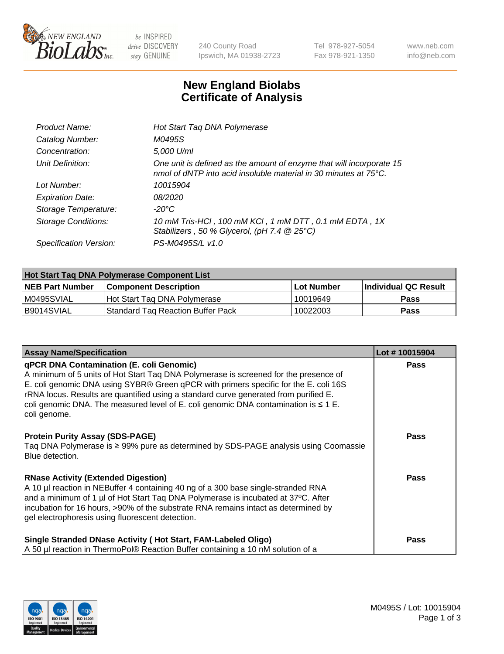

 $be$  INSPIRED drive DISCOVERY stay GENUINE

240 County Road Ipswich, MA 01938-2723 Tel 978-927-5054 Fax 978-921-1350 www.neb.com info@neb.com

## **New England Biolabs Certificate of Analysis**

| Product Name:              | Hot Start Taq DNA Polymerase                                                                                                                       |
|----------------------------|----------------------------------------------------------------------------------------------------------------------------------------------------|
| Catalog Number:            | M0495S                                                                                                                                             |
| Concentration:             | 5,000 U/ml                                                                                                                                         |
| Unit Definition:           | One unit is defined as the amount of enzyme that will incorporate 15<br>nmol of dNTP into acid insoluble material in 30 minutes at $75^{\circ}$ C. |
| Lot Number:                | 10015904                                                                                                                                           |
| <b>Expiration Date:</b>    | 08/2020                                                                                                                                            |
| Storage Temperature:       | -20°C                                                                                                                                              |
| <b>Storage Conditions:</b> | 10 mM Tris-HCl, 100 mM KCl, 1 mM DTT, 0.1 mM EDTA, 1X<br>Stabilizers, 50 % Glycerol, (pH 7.4 $@25°C$ )                                             |
| Specification Version:     | PS-M0495S/L v1.0                                                                                                                                   |

| Hot Start Taq DNA Polymerase Component List |                                     |              |                             |  |  |
|---------------------------------------------|-------------------------------------|--------------|-----------------------------|--|--|
| <b>NEB Part Number</b>                      | Component Description_              | l Lot Number | <b>Individual QC Result</b> |  |  |
| M0495SVIAL                                  | Hot Start Tag DNA Polymerase        | 10019649     | <b>Pass</b>                 |  |  |
| I B9014SVIAL                                | l Standard Tag Reaction Buffer Pack | 10022003     | Pass                        |  |  |

| <b>Assay Name/Specification</b>                                                                                                                                                                                                                                                                                                                                                                                                     | Lot #10015904 |
|-------------------------------------------------------------------------------------------------------------------------------------------------------------------------------------------------------------------------------------------------------------------------------------------------------------------------------------------------------------------------------------------------------------------------------------|---------------|
| <b>qPCR DNA Contamination (E. coli Genomic)</b><br>A minimum of 5 units of Hot Start Tag DNA Polymerase is screened for the presence of<br>E. coli genomic DNA using SYBR® Green qPCR with primers specific for the E. coli 16S<br>rRNA locus. Results are quantified using a standard curve generated from purified E.<br>coli genomic DNA. The measured level of E. coli genomic DNA contamination is $\leq 1$ E.<br>coli genome. | <b>Pass</b>   |
| <b>Protein Purity Assay (SDS-PAGE)</b><br>Taq DNA Polymerase is ≥ 99% pure as determined by SDS-PAGE analysis using Coomassie<br>Blue detection.                                                                                                                                                                                                                                                                                    | Pass          |
| <b>RNase Activity (Extended Digestion)</b><br>A 10 µl reaction in NEBuffer 4 containing 40 ng of a 300 base single-stranded RNA<br>  and a minimum of 1 μl of Hot Start Taq DNA Polymerase is incubated at 37ºC. After<br>incubation for 16 hours, >90% of the substrate RNA remains intact as determined by<br>gel electrophoresis using fluorescent detection.                                                                    | Pass          |
| Single Stranded DNase Activity (Hot Start, FAM-Labeled Oligo)<br>A 50 µl reaction in ThermoPol® Reaction Buffer containing a 10 nM solution of a                                                                                                                                                                                                                                                                                    | <b>Pass</b>   |

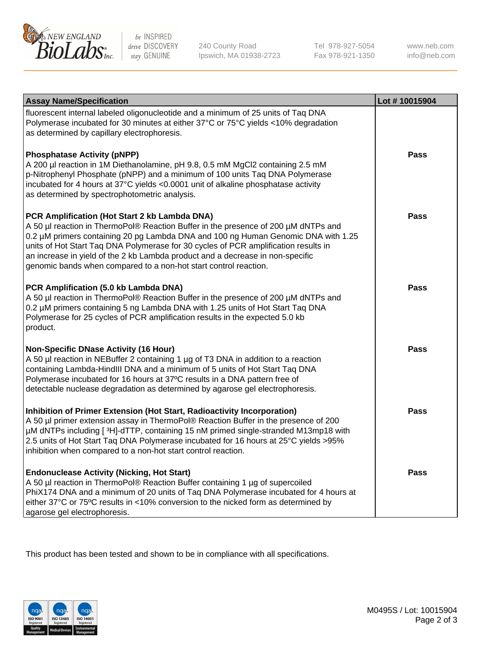

 $be$  INSPIRED drive DISCOVERY stay GENUINE

240 County Road Ipswich, MA 01938-2723 Tel 978-927-5054 Fax 978-921-1350 www.neb.com info@neb.com

| <b>Assay Name/Specification</b>                                                                                                                                                                                                                                                                                                                                                                                                                                       | Lot #10015904 |
|-----------------------------------------------------------------------------------------------------------------------------------------------------------------------------------------------------------------------------------------------------------------------------------------------------------------------------------------------------------------------------------------------------------------------------------------------------------------------|---------------|
| fluorescent internal labeled oligonucleotide and a minimum of 25 units of Taq DNA<br>Polymerase incubated for 30 minutes at either 37°C or 75°C yields <10% degradation<br>as determined by capillary electrophoresis.                                                                                                                                                                                                                                                |               |
| <b>Phosphatase Activity (pNPP)</b><br>A 200 µl reaction in 1M Diethanolamine, pH 9.8, 0.5 mM MgCl2 containing 2.5 mM<br>p-Nitrophenyl Phosphate (pNPP) and a minimum of 100 units Taq DNA Polymerase<br>incubated for 4 hours at 37°C yields <0.0001 unit of alkaline phosphatase activity<br>as determined by spectrophotometric analysis.                                                                                                                           | Pass          |
| PCR Amplification (Hot Start 2 kb Lambda DNA)<br>A 50 µl reaction in ThermoPol® Reaction Buffer in the presence of 200 µM dNTPs and<br>0.2 µM primers containing 20 pg Lambda DNA and 100 ng Human Genomic DNA with 1.25<br>units of Hot Start Taq DNA Polymerase for 30 cycles of PCR amplification results in<br>an increase in yield of the 2 kb Lambda product and a decrease in non-specific<br>genomic bands when compared to a non-hot start control reaction. | Pass          |
| PCR Amplification (5.0 kb Lambda DNA)<br>A 50 µl reaction in ThermoPol® Reaction Buffer in the presence of 200 µM dNTPs and<br>0.2 µM primers containing 5 ng Lambda DNA with 1.25 units of Hot Start Taq DNA<br>Polymerase for 25 cycles of PCR amplification results in the expected 5.0 kb<br>product.                                                                                                                                                             | <b>Pass</b>   |
| <b>Non-Specific DNase Activity (16 Hour)</b><br>A 50 µl reaction in NEBuffer 2 containing 1 µg of T3 DNA in addition to a reaction<br>containing Lambda-HindIII DNA and a minimum of 5 units of Hot Start Taq DNA<br>Polymerase incubated for 16 hours at 37°C results in a DNA pattern free of<br>detectable nuclease degradation as determined by agarose gel electrophoresis.                                                                                      | Pass          |
| Inhibition of Primer Extension (Hot Start, Radioactivity Incorporation)<br>A 50 µl primer extension assay in ThermoPol® Reaction Buffer in the presence of 200<br>µM dNTPs including [3H]-dTTP, containing 15 nM primed single-stranded M13mp18 with<br>2.5 units of Hot Start Taq DNA Polymerase incubated for 16 hours at 25°C yields > 95%<br>inhibition when compared to a non-hot start control reaction.                                                        | Pass          |
| <b>Endonuclease Activity (Nicking, Hot Start)</b><br>A 50 µl reaction in ThermoPol® Reaction Buffer containing 1 µg of supercoiled<br>PhiX174 DNA and a minimum of 20 units of Taq DNA Polymerase incubated for 4 hours at<br>either 37°C or 75°C results in <10% conversion to the nicked form as determined by<br>agarose gel electrophoresis.                                                                                                                      | Pass          |

This product has been tested and shown to be in compliance with all specifications.